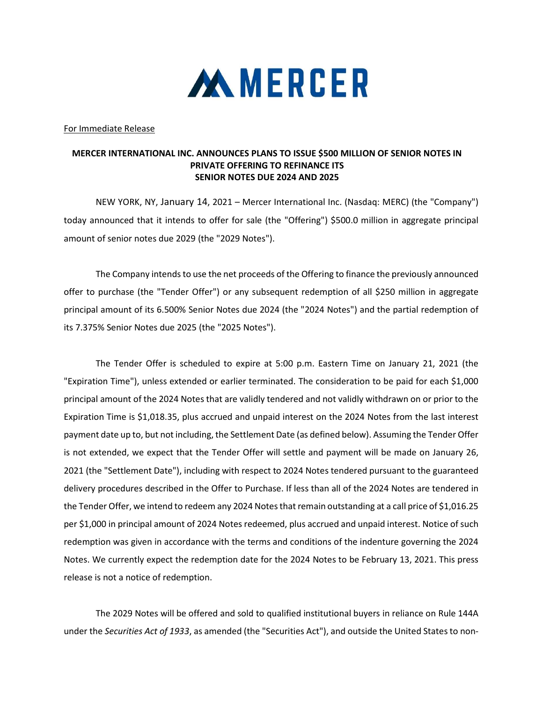

For Immediate Release

## MERCER INTERNATIONAL INC. ANNOUNCES PLANS TO ISSUE \$500 MILLION OF SENIOR NOTES IN PRIVATE OFFERING TO REFINANCE ITS SENIOR NOTES DUE 2024 AND 2025

 NEW YORK, NY, January 14, 2021 – Mercer International Inc. (Nasdaq: MERC) (the "Company") today announced that it intends to offer for sale (the "Offering") \$500.0 million in aggregate principal amount of senior notes due 2029 (the "2029 Notes").

The Company intends to use the net proceeds of the Offering to finance the previously announced offer to purchase (the "Tender Offer") or any subsequent redemption of all \$250 million in aggregate principal amount of its 6.500% Senior Notes due 2024 (the "2024 Notes") and the partial redemption of its 7.375% Senior Notes due 2025 (the "2025 Notes").

The Tender Offer is scheduled to expire at 5:00 p.m. Eastern Time on January 21, 2021 (the "Expiration Time"), unless extended or earlier terminated. The consideration to be paid for each \$1,000 principal amount of the 2024 Notes that are validly tendered and not validly withdrawn on or prior to the Expiration Time is \$1,018.35, plus accrued and unpaid interest on the 2024 Notes from the last interest payment date up to, but not including, the Settlement Date (as defined below). Assuming the Tender Offer is not extended, we expect that the Tender Offer will settle and payment will be made on January 26, 2021 (the "Settlement Date"), including with respect to 2024 Notes tendered pursuant to the guaranteed delivery procedures described in the Offer to Purchase. If less than all of the 2024 Notes are tendered in the Tender Offer, we intend to redeem any 2024 Notes that remain outstanding at a call price of \$1,016.25 per \$1,000 in principal amount of 2024 Notes redeemed, plus accrued and unpaid interest. Notice of such redemption was given in accordance with the terms and conditions of the indenture governing the 2024 Notes. We currently expect the redemption date for the 2024 Notes to be February 13, 2021. This press release is not a notice of redemption.

The 2029 Notes will be offered and sold to qualified institutional buyers in reliance on Rule 144A under the Securities Act of 1933, as amended (the "Securities Act"), and outside the United States to non